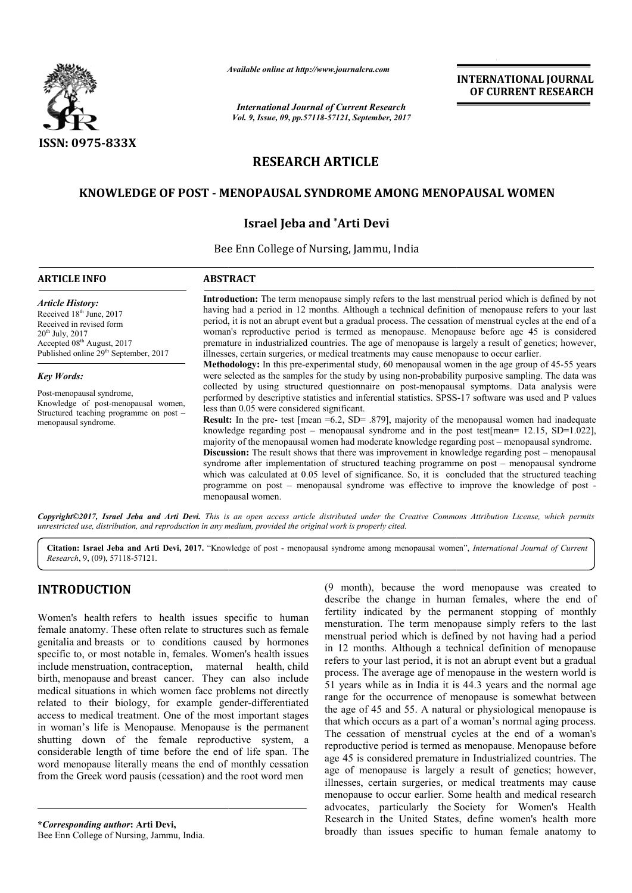

*Available online at http://www.journal http://www.journalcra.com*

## **RESEARCH ARTICLE**

## **KNOWLEDGE OF POST - MENOPAUSAL SYNDROME AMONG MENOPAUSAL WOMEN MENOPAUSAL**

### **Israel Jeba and \*Arti Devi**

|                                                                                                                                                                                                                                                                                                                                                                                                                                                                                                                                                                                                                                                                                                              | л гипионе опите ин пир.// www.journancra.com<br><b>International Journal of Current Research</b><br>Vol. 9, Issue, 09, pp.57118-57121, September, 2017                                                                                                                                                                                                                                                                                                                                                                                                                                                                                                                                                                                                                                                                                                                                                                                                                                                                                                                                                                                                                                                                                                                                                                                                                                                                                                                                                                                                                                                                                                                                                                                                                                                                                        |                                          | <b>INTERNATIONAL JOURNAL</b><br>OF CURRENT RESEARCH                                                                                                                                                                                                                                                                                                                                                                                                                                                                                                                                                                                                                                                                                                                                                                                                                                                                                                                                        |  |  |
|--------------------------------------------------------------------------------------------------------------------------------------------------------------------------------------------------------------------------------------------------------------------------------------------------------------------------------------------------------------------------------------------------------------------------------------------------------------------------------------------------------------------------------------------------------------------------------------------------------------------------------------------------------------------------------------------------------------|-----------------------------------------------------------------------------------------------------------------------------------------------------------------------------------------------------------------------------------------------------------------------------------------------------------------------------------------------------------------------------------------------------------------------------------------------------------------------------------------------------------------------------------------------------------------------------------------------------------------------------------------------------------------------------------------------------------------------------------------------------------------------------------------------------------------------------------------------------------------------------------------------------------------------------------------------------------------------------------------------------------------------------------------------------------------------------------------------------------------------------------------------------------------------------------------------------------------------------------------------------------------------------------------------------------------------------------------------------------------------------------------------------------------------------------------------------------------------------------------------------------------------------------------------------------------------------------------------------------------------------------------------------------------------------------------------------------------------------------------------------------------------------------------------------------------------------------------------|------------------------------------------|--------------------------------------------------------------------------------------------------------------------------------------------------------------------------------------------------------------------------------------------------------------------------------------------------------------------------------------------------------------------------------------------------------------------------------------------------------------------------------------------------------------------------------------------------------------------------------------------------------------------------------------------------------------------------------------------------------------------------------------------------------------------------------------------------------------------------------------------------------------------------------------------------------------------------------------------------------------------------------------------|--|--|
|                                                                                                                                                                                                                                                                                                                                                                                                                                                                                                                                                                                                                                                                                                              |                                                                                                                                                                                                                                                                                                                                                                                                                                                                                                                                                                                                                                                                                                                                                                                                                                                                                                                                                                                                                                                                                                                                                                                                                                                                                                                                                                                                                                                                                                                                                                                                                                                                                                                                                                                                                                               |                                          |                                                                                                                                                                                                                                                                                                                                                                                                                                                                                                                                                                                                                                                                                                                                                                                                                                                                                                                                                                                            |  |  |
| ISSN: 0975-833X                                                                                                                                                                                                                                                                                                                                                                                                                                                                                                                                                                                                                                                                                              |                                                                                                                                                                                                                                                                                                                                                                                                                                                                                                                                                                                                                                                                                                                                                                                                                                                                                                                                                                                                                                                                                                                                                                                                                                                                                                                                                                                                                                                                                                                                                                                                                                                                                                                                                                                                                                               |                                          |                                                                                                                                                                                                                                                                                                                                                                                                                                                                                                                                                                                                                                                                                                                                                                                                                                                                                                                                                                                            |  |  |
|                                                                                                                                                                                                                                                                                                                                                                                                                                                                                                                                                                                                                                                                                                              |                                                                                                                                                                                                                                                                                                                                                                                                                                                                                                                                                                                                                                                                                                                                                                                                                                                                                                                                                                                                                                                                                                                                                                                                                                                                                                                                                                                                                                                                                                                                                                                                                                                                                                                                                                                                                                               | <b>RESEARCH ARTICLE</b>                  |                                                                                                                                                                                                                                                                                                                                                                                                                                                                                                                                                                                                                                                                                                                                                                                                                                                                                                                                                                                            |  |  |
|                                                                                                                                                                                                                                                                                                                                                                                                                                                                                                                                                                                                                                                                                                              |                                                                                                                                                                                                                                                                                                                                                                                                                                                                                                                                                                                                                                                                                                                                                                                                                                                                                                                                                                                                                                                                                                                                                                                                                                                                                                                                                                                                                                                                                                                                                                                                                                                                                                                                                                                                                                               |                                          | KNOWLEDGE OF POST - MENOPAUSAL SYNDROME AMONG MENOPAUSAL WOMEN                                                                                                                                                                                                                                                                                                                                                                                                                                                                                                                                                                                                                                                                                                                                                                                                                                                                                                                             |  |  |
|                                                                                                                                                                                                                                                                                                                                                                                                                                                                                                                                                                                                                                                                                                              |                                                                                                                                                                                                                                                                                                                                                                                                                                                                                                                                                                                                                                                                                                                                                                                                                                                                                                                                                                                                                                                                                                                                                                                                                                                                                                                                                                                                                                                                                                                                                                                                                                                                                                                                                                                                                                               | <b>Israel Jeba and *Arti Devi</b>        |                                                                                                                                                                                                                                                                                                                                                                                                                                                                                                                                                                                                                                                                                                                                                                                                                                                                                                                                                                                            |  |  |
|                                                                                                                                                                                                                                                                                                                                                                                                                                                                                                                                                                                                                                                                                                              |                                                                                                                                                                                                                                                                                                                                                                                                                                                                                                                                                                                                                                                                                                                                                                                                                                                                                                                                                                                                                                                                                                                                                                                                                                                                                                                                                                                                                                                                                                                                                                                                                                                                                                                                                                                                                                               | Bee Enn College of Nursing, Jammu, India |                                                                                                                                                                                                                                                                                                                                                                                                                                                                                                                                                                                                                                                                                                                                                                                                                                                                                                                                                                                            |  |  |
| <b>ARTICLE INFO</b>                                                                                                                                                                                                                                                                                                                                                                                                                                                                                                                                                                                                                                                                                          | <b>ABSTRACT</b>                                                                                                                                                                                                                                                                                                                                                                                                                                                                                                                                                                                                                                                                                                                                                                                                                                                                                                                                                                                                                                                                                                                                                                                                                                                                                                                                                                                                                                                                                                                                                                                                                                                                                                                                                                                                                               |                                          |                                                                                                                                                                                                                                                                                                                                                                                                                                                                                                                                                                                                                                                                                                                                                                                                                                                                                                                                                                                            |  |  |
| <b>Article History:</b><br>Received 18 <sup>th</sup> June, 2017<br>Received in revised form<br>$20^{th}$ July, $2017$<br>Accepted 08 <sup>th</sup> August, 2017<br>Published online 29 <sup>th</sup> September, 2017                                                                                                                                                                                                                                                                                                                                                                                                                                                                                         | Introduction: The term menopause simply refers to the last menstrual period which is defined by not<br>having had a period in 12 months. Although a technical definition of menopause refers to your last<br>period, it is not an abrupt event but a gradual process. The cessation of menstrual cycles at the end of a<br>woman's reproductive period is termed as menopause. Menopause before age 45 is considered<br>premature in industrialized countries. The age of menopause is largely a result of genetics; however,<br>illnesses, certain surgeries, or medical treatments may cause menopause to occur earlier.<br>Methodology: In this pre-experimental study, 60 menopausal women in the age group of 45-55 years<br>were selected as the samples for the study by using non-probability purposive sampling. The data was<br>collected by using structured questionnaire on post-menopausal symptoms. Data analysis were<br>performed by descriptive statistics and inferential statistics. SPSS-17 software was used and P values<br>less than 0.05 were considered significant.<br><b>Result:</b> In the pre- test [mean =6.2, SD= .879], majority of the menopausal women had inadequate<br>knowledge regarding post – menopausal syndrome and in the post test [mean= $12.15$ , SD= $1.022$ ],<br>majority of the menopausal women had moderate knowledge regarding post – menopausal syndrome.<br>Discussion: The result shows that there was improvement in knowledge regarding post – menopausal<br>syndrome after implementation of structured teaching programme on post - menopausal syndrome<br>which was calculated at 0.05 level of significance. So, it is concluded that the structured teaching<br>programme on post – menopausal syndrome was effective to improve the knowledge of post -<br>menopausal women. |                                          |                                                                                                                                                                                                                                                                                                                                                                                                                                                                                                                                                                                                                                                                                                                                                                                                                                                                                                                                                                                            |  |  |
| <b>Key Words:</b>                                                                                                                                                                                                                                                                                                                                                                                                                                                                                                                                                                                                                                                                                            |                                                                                                                                                                                                                                                                                                                                                                                                                                                                                                                                                                                                                                                                                                                                                                                                                                                                                                                                                                                                                                                                                                                                                                                                                                                                                                                                                                                                                                                                                                                                                                                                                                                                                                                                                                                                                                               |                                          |                                                                                                                                                                                                                                                                                                                                                                                                                                                                                                                                                                                                                                                                                                                                                                                                                                                                                                                                                                                            |  |  |
| Post-menopausal syndrome,<br>Knowledge of post-menopausal women,<br>Structured teaching programme on post -<br>menopausal syndrome.                                                                                                                                                                                                                                                                                                                                                                                                                                                                                                                                                                          |                                                                                                                                                                                                                                                                                                                                                                                                                                                                                                                                                                                                                                                                                                                                                                                                                                                                                                                                                                                                                                                                                                                                                                                                                                                                                                                                                                                                                                                                                                                                                                                                                                                                                                                                                                                                                                               |                                          |                                                                                                                                                                                                                                                                                                                                                                                                                                                                                                                                                                                                                                                                                                                                                                                                                                                                                                                                                                                            |  |  |
| unrestricted use, distribution, and reproduction in any medium, provided the original work is properly cited.                                                                                                                                                                                                                                                                                                                                                                                                                                                                                                                                                                                                |                                                                                                                                                                                                                                                                                                                                                                                                                                                                                                                                                                                                                                                                                                                                                                                                                                                                                                                                                                                                                                                                                                                                                                                                                                                                                                                                                                                                                                                                                                                                                                                                                                                                                                                                                                                                                                               |                                          | Copyright©2017, Israel Jeba and Arti Devi. This is an open access article distributed under the Creative Commons Attribution License, which permits                                                                                                                                                                                                                                                                                                                                                                                                                                                                                                                                                                                                                                                                                                                                                                                                                                        |  |  |
| Research, 9, (09), 57118-57121.                                                                                                                                                                                                                                                                                                                                                                                                                                                                                                                                                                                                                                                                              |                                                                                                                                                                                                                                                                                                                                                                                                                                                                                                                                                                                                                                                                                                                                                                                                                                                                                                                                                                                                                                                                                                                                                                                                                                                                                                                                                                                                                                                                                                                                                                                                                                                                                                                                                                                                                                               |                                          | Citation: Israel Jeba and Arti Devi, 2017. "Knowledge of post - menopausal syndrome among menopausal women", International Journal of Current                                                                                                                                                                                                                                                                                                                                                                                                                                                                                                                                                                                                                                                                                                                                                                                                                                              |  |  |
| <b>INTRODUCTION</b><br>Women's health refers to health issues specific to human                                                                                                                                                                                                                                                                                                                                                                                                                                                                                                                                                                                                                              |                                                                                                                                                                                                                                                                                                                                                                                                                                                                                                                                                                                                                                                                                                                                                                                                                                                                                                                                                                                                                                                                                                                                                                                                                                                                                                                                                                                                                                                                                                                                                                                                                                                                                                                                                                                                                                               |                                          | (9 month), because the word menopause was created to<br>describe the change in human females, where the end of<br>fertility indicated by the permanent stopping of monthly<br>mensturation. The term menopause simply refers to the last                                                                                                                                                                                                                                                                                                                                                                                                                                                                                                                                                                                                                                                                                                                                                   |  |  |
| female anatomy. These often relate to structures such as female<br>genitalia and breasts or to conditions caused by hormones                                                                                                                                                                                                                                                                                                                                                                                                                                                                                                                                                                                 |                                                                                                                                                                                                                                                                                                                                                                                                                                                                                                                                                                                                                                                                                                                                                                                                                                                                                                                                                                                                                                                                                                                                                                                                                                                                                                                                                                                                                                                                                                                                                                                                                                                                                                                                                                                                                                               |                                          | menstrual period which is defined by not having had a period                                                                                                                                                                                                                                                                                                                                                                                                                                                                                                                                                                                                                                                                                                                                                                                                                                                                                                                               |  |  |
| specific to, or most notable in, females. Women's health issues<br>include menstruation, contraception, maternal health, child<br>birth, menopause and breast cancer. They can also include<br>medical situations in which women face problems not directly<br>related to their biology, for example gender-differentiated<br>access to medical treatment. One of the most important stages<br>in woman's life is Menopause. Menopause is the permanent<br>shutting down of the female reproductive system, a<br>considerable length of time before the end of life span. The<br>word menopause literally means the end of monthly cessation<br>from the Greek word pausis (cessation) and the root word men |                                                                                                                                                                                                                                                                                                                                                                                                                                                                                                                                                                                                                                                                                                                                                                                                                                                                                                                                                                                                                                                                                                                                                                                                                                                                                                                                                                                                                                                                                                                                                                                                                                                                                                                                                                                                                                               |                                          | in 12 months. Although a technical definition of menopause<br>refers to your last period, it is not an abrupt event but a gradual<br>process. The average age of menopause in the western world is<br>51 years while as in India it is 44.3 years and the normal age<br>range for the occurrence of menopause is somewhat between<br>the age of 45 and 55. A natural or physiological menopause is<br>that which occurs as a part of a woman's normal aging process.<br>The cessation of menstrual cycles at the end of a woman's<br>reproductive period is termed as menopause. Menopause before<br>age 45 is considered premature in Industrialized countries. The<br>age of menopause is largely a result of genetics; however,<br>illnesses, certain surgeries, or medical treatments may cause<br>menopause to occur earlier. Some health and medical research<br>advocates, particularly the Society for Women's Health<br>Research in the United States, define women's health more |  |  |
| *Corresponding author: Arti Devi,<br>Bee Enn College of Nursing Jammu India                                                                                                                                                                                                                                                                                                                                                                                                                                                                                                                                                                                                                                  |                                                                                                                                                                                                                                                                                                                                                                                                                                                                                                                                                                                                                                                                                                                                                                                                                                                                                                                                                                                                                                                                                                                                                                                                                                                                                                                                                                                                                                                                                                                                                                                                                                                                                                                                                                                                                                               |                                          | broadly than issues specific to human female anatomy to                                                                                                                                                                                                                                                                                                                                                                                                                                                                                                                                                                                                                                                                                                                                                                                                                                                                                                                                    |  |  |

## **INTRODUCTION**

**\****Corresponding author***: Arti Devi,** Bee Enn College of Nursing, Jammu, India.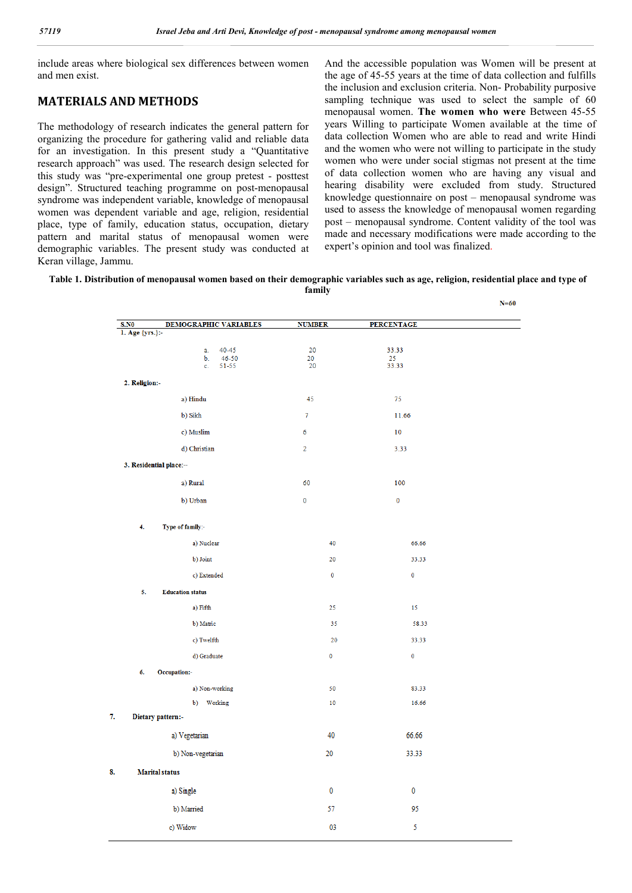include areas where biological sex differences between women and men exist.

## **MATERIALS AND METHODS**

The methodology of research indicates the general pattern for organizing the procedure for gathering valid and reliable data for an investigation. In this present study a "Quantitative research approach" was used. The research design selected for this study was "pre-experimental one group pretest - posttest design". Structured teaching programme on post-menopausal syndrome was independent variable, knowledge of menopausal women was dependent variable and age, religion, residential place, type of family, education status, occupation, dietary pattern and marital status of menopausal women were demographic variables. The present study was conducted at Keran village, Jammu.

And the accessible population was Women will be present at the age of 45-55 years at the time of data collection and fulfills the inclusion and exclusion criteria. Non- Probability purposive sampling technique was used to select the sample of 60 menopausal women. **The women who were** Between 45-55 years Willing to participate Women available at the time of data collection Women who are able to read and write Hindi and the women who were not willing to participate in the study women who were under social stigmas not present at the time of data collection women who are having any visual and hearing disability were excluded from study. Structured knowledge questionnaire on post – menopausal syndrome was used to assess the knowledge of menopausal women regarding post – menopausal syndrome. Content validity of the tool was made and necessary modifications were made according to the expert's opinion and tool was finalized.

 $\overline{a}$ 

**Table 1. Distribution of menopausal women based on their demographic variables such as age, religion, residential place and type of family**

|                                |                |                   | $N=00$ |
|--------------------------------|----------------|-------------------|--------|
| DEMOGRAPHIC VARIABLES<br>S.NO  | <b>NUMBER</b>  | <b>PERCENTAGE</b> |        |
| 1. Age {yrs.}:-                |                |                   |        |
| 40-45<br>a.<br>$46 - 50$<br>b. | 20<br>20       | 33.33<br>25       |        |
| 51-55<br>c.                    | 20             | 33.33             |        |
| 2. Religion:-                  |                |                   |        |
| a) Hindu                       | 45             | 75                |        |
| b) Sikh                        | $\overline{7}$ | 11.66             |        |
| c) Muslim                      | 6              | 10                |        |
| d) Christian                   | $\overline{2}$ | 3.33              |        |
| 3. Residential place:--        |                |                   |        |
| a) Rural                       | 60             | 100               |        |
| b) Urban                       | $\pmb{0}$      | $\mathbf 0$       |        |
|                                |                |                   |        |
| 4.<br>Type of family:-         |                |                   |        |
| a) Nuclear                     | 40             | 66.66             |        |
| b) Joint                       | 20             | 33.33             |        |
| c) Extended                    | $\mathbf 0$    | $\mathbf 0$       |        |
| 5.<br><b>Education status</b>  |                |                   |        |
| a) Fifth                       | 25             | 15                |        |
| b) Matric                      | 35             | 58.33             |        |
| c) Twelfth                     | 20             | 33.33             |        |
| d) Graduate                    | 0              | $\mathbf 0$       |        |
| 6.<br>Occupation:-             |                |                   |        |
| a) Non-working                 | 50             | 83.33             |        |
| b) Working                     | 10             | 16.66             |        |
| Dietary pattern:-              |                |                   |        |
| a) Vegetarian                  | 40             | 66.66             |        |
| b) Non-vegetarian              | 20             | 33.33             |        |
| <b>Marital</b> status          |                |                   |        |
|                                |                |                   |        |
| a) Single                      | 0              | 0                 |        |
| b) Married                     | 57             | 95                |        |
| c) Widow                       | 03             | 5                 |        |
|                                |                |                   |        |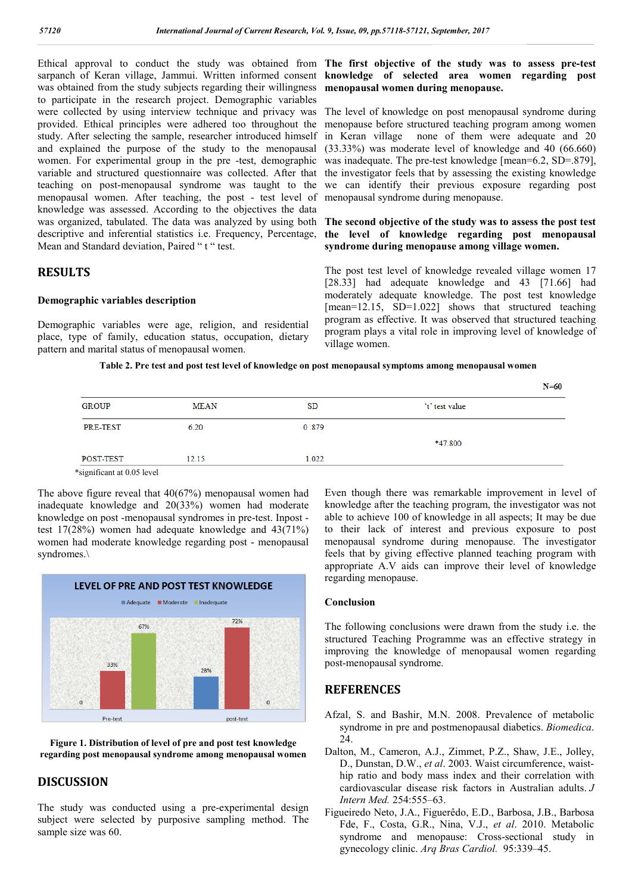Ethical approval to conduct the study was obtained from **The first objective of the study was to assess pre-test**  sarpanch of Keran village, Jammui. Written informed consent **knowledge of selected area women regarding post**  was obtained from the study subjects regarding their willingness to participate in the research project. Demographic variables were collected by using interview technique and privacy was provided. Ethical principles were adhered too throughout the study. After selecting the sample, researcher introduced himself and explained the purpose of the study to the menopausal women. For experimental group in the pre -test, demographic variable and structured questionnaire was collected. After that teaching on post-menopausal syndrome was taught to the menopausal women. After teaching, the post - test level of knowledge was assessed. According to the objectives the data was organized, tabulated. The data was analyzed by using both **The second objective of the study was to assess the post test**  descriptive and inferential statistics i.e. Frequency, Percentage, Mean and Standard deviation, Paired "t" test.

## **RESULTS**

### **Demographic variables description**

Demographic variables were age, religion, and residential place, type of family, education status, occupation, dietary pattern and marital status of menopausal women.

# **menopausal women during menopause.**

The level of knowledge on post menopausal syndrome during menopause before structured teaching program among women in Keran village none of them were adequate and 20 (33.33%) was moderate level of knowledge and 40 (66.660) was inadequate. The pre-test knowledge [mean=6.2, SD=.879], the investigator feels that by assessing the existing knowledge we can identify their previous exposure regarding post menopausal syndrome during menopause.

## **the level of knowledge regarding post menopausal syndrome during menopause among village women.**

The post test level of knowledge revealed village women 17 [28.33] had adequate knowledge and 43 [71.66] had moderately adequate knowledge. The post test knowledge [mean=12.15, SD=1.022] shows that structured teaching program as effective. It was observed that structured teaching program plays a vital role in improving level of knowledge of village women.

### **Table 2. Pre test and post test level of knowledge on post menopausal symptoms among menopausal women**

|              |       |       |                | $N=60$ |
|--------------|-------|-------|----------------|--------|
| <b>GROUP</b> | MEAN  | SD    | 't' test value |        |
| PRE-TEST     | 6.20  | 0.879 |                |        |
|              |       |       | *47.800        |        |
| POST-TEST    | 12.15 | 1.022 |                |        |
|              |       |       |                |        |

\*significant at 0.05 level

The above figure reveal that 40(67%) menopausal women had inadequate knowledge and 20(33%) women had moderate knowledge on post -menopausal syndromes in pre-test. Inpost test 17(28%) women had adequate knowledge and 43(71%) women had moderate knowledge regarding post - menopausal syndromes.\



**Figure 1. Distribution of level of pre and post test knowledge regarding post menopausal syndrome among menopausal women**

## **DISCUSSION**

The study was conducted using a pre-experimental design subject were selected by purposive sampling method. The sample size was 60.

Even though there was remarkable improvement in level of knowledge after the teaching program, the investigator was not able to achieve 100 of knowledge in all aspects; It may be due to their lack of interest and previous exposure to post menopausal syndrome during menopause. The investigator feels that by giving effective planned teaching program with appropriate A.V aids can improve their level of knowledge regarding menopause.

#### **Conclusion**

The following conclusions were drawn from the study i.e. the structured Teaching Programme was an effective strategy in improving the knowledge of menopausal women regarding post-menopausal syndrome.

### **REFERENCES**

- Afzal, S. and Bashir, M.N. 2008. Prevalence of metabolic syndrome in pre and postmenopausal diabetics. *Biomedica*. 24.
- Dalton, M., Cameron, A.J., Zimmet, P.Z., Shaw, J.E., Jolley, D., Dunstan, D.W., *et al*. 2003. Waist circumference, waisthip ratio and body mass index and their correlation with cardiovascular disease risk factors in Australian adults. *J Intern Med.* 254:555–63.
- Figueiredo Neto, J.A., Figuerêdo, E.D., Barbosa, J.B., Barbosa Fde, F., Costa, G.R., Nina, V.J., *et al*. 2010. Metabolic syndrome and menopause: Cross-sectional study in gynecology clinic. *Arq Bras Cardiol.* 95:339–45.